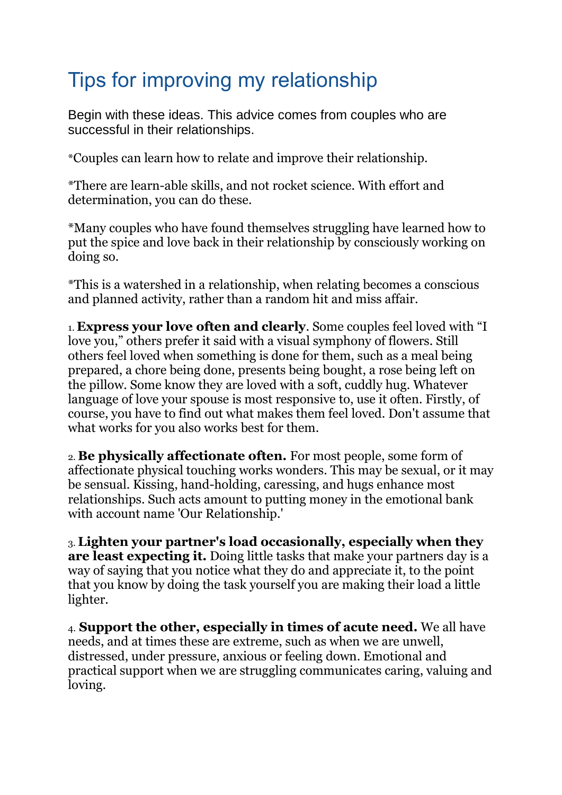## Tips for improving my relationship

Begin with these ideas. This advice comes from couples who are successful in their relationships.

\*Couples can learn how to relate and improve their relationship.

\*There are learn-able skills, and not rocket science. With effort and determination, you can do these.

\*Many couples who have found themselves struggling have learned how to put the spice and love back in their relationship by consciously working on doing so.

\*This is a watershed in a relationship, when relating becomes a conscious and planned activity, rather than a random hit and miss affair.

1. **Express your love often and clearly**. Some couples feel loved with "I love you," others prefer it said with a visual symphony of flowers. Still others feel loved when something is done for them, such as a meal being prepared, a chore being done, presents being bought, a rose being left on the pillow. Some know they are loved with a soft, cuddly hug. Whatever language of love your spouse is most responsive to, use it often. Firstly, of course, you have to find out what makes them feel loved. Don't assume that what works for you also works best for them.

2. **Be physically affectionate often.** For most people, some form of affectionate physical touching works wonders. This may be sexual, or it may be sensual. Kissing, hand-holding, caressing, and hugs enhance most relationships. Such acts amount to putting money in the emotional bank with account name 'Our Relationship.'

3. **Lighten your partner's load occasionally, especially when they are least expecting it.** Doing little tasks that make your partners day is a way of saying that you notice what they do and appreciate it, to the point that you know by doing the task yourself you are making their load a little lighter.

4. **Support the other, especially in times of acute need.** We all have needs, and at times these are extreme, such as when we are unwell, distressed, under pressure, anxious or feeling down. Emotional and practical support when we are struggling communicates caring, valuing and loving.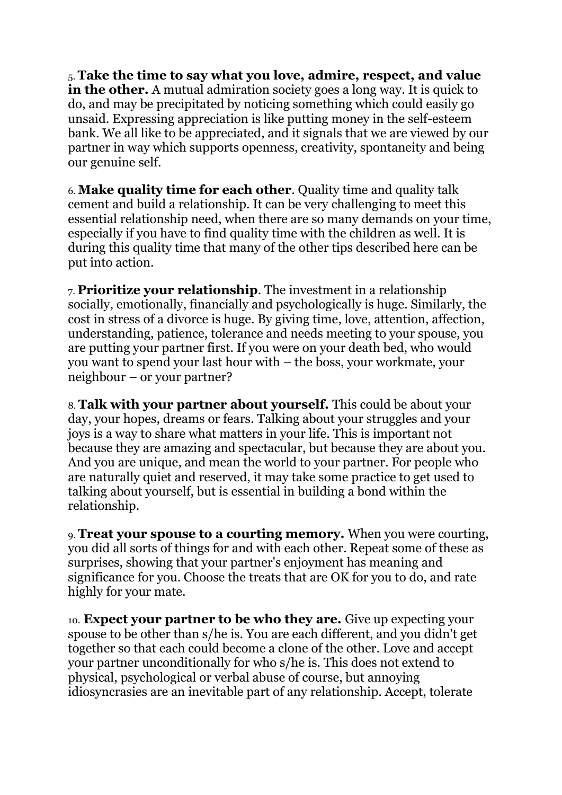5. **Take the time to say what you love, admire, respect, and value in the other.** A mutual admiration society goes a long way. It is quick to do, and may be precipitated by noticing something which could easily go unsaid. Expressing appreciation is like putting money in the self-esteem bank. We all like to be appreciated, and it signals that we are viewed by our partner in way which supports openness, creativity, spontaneity and being our genuine self.

6. **Make quality time for each other**. Quality time and quality talk cement and build a relationship. It can be very challenging to meet this essential relationship need, when there are so many demands on your time, especially if you have to find quality time with the children as well. It is during this quality time that many of the other tips described here can be put into action.

7. **Prioritize your relationship**. The investment in a relationship socially, emotionally, financially and psychologically is huge. Similarly, the cost in stress of a divorce is huge. By giving time, love, attention, affection, understanding, patience, tolerance and needs meeting to your spouse, you are putting your partner first. If you were on your death bed, who would you want to spend your last hour with – the boss, your workmate, your neighbour – or your partner?

8. **Talk with your partner about yourself.** This could be about your day, your hopes, dreams or fears. Talking about your struggles and your joys is a way to share what matters in your life. This is important not because they are amazing and spectacular, but because they are about you. And you are unique, and mean the world to your partner. For people who are naturally quiet and reserved, it may take some practice to get used to talking about yourself, but is essential in building a bond within the relationship.

9. **Treat your spouse to a courting memory.** When you were courting, you did all sorts of things for and with each other. Repeat some of these as surprises, showing that your partner's enjoyment has meaning and significance for you. Choose the treats that are OK for you to do, and rate highly for your mate.

10. **Expect your partner to be who they are.** Give up expecting your spouse to be other than s/he is. You are each different, and you didn't get together so that each could become a clone of the other. Love and accept your partner unconditionally for who s/he is. This does not extend to physical, psychological or verbal abuse of course, but annoying idiosyncrasies are an inevitable part of any relationship. Accept, tolerate